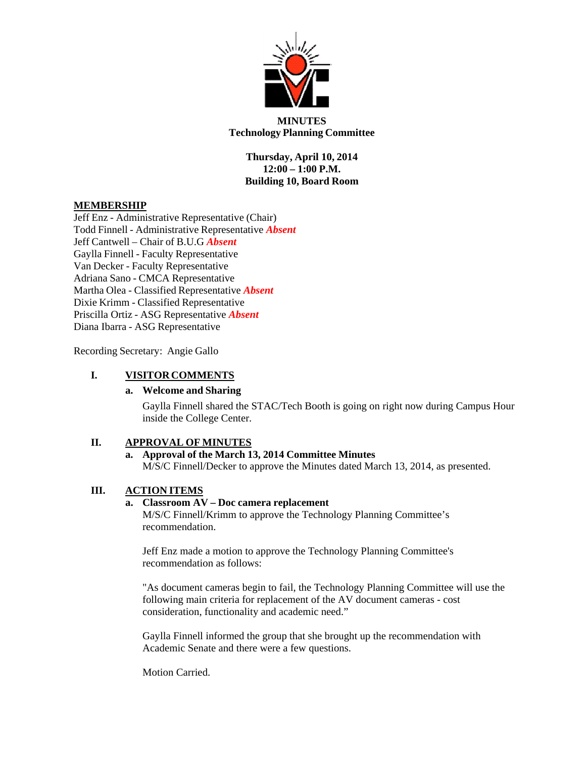

**MINUTES Technology Planning Committee**

> **Thursday, April 10, 2014 12:00 – 1:00 P.M. Building 10, Board Room**

# **MEMBERSHIP**

Jeff Enz - Administrative Representative (Chair) Todd Finnell - Administrative Representative *Absent* Jeff Cantwell – Chair of B.U.G *Absent* Gaylla Finnell - Faculty Representative Van Decker - Faculty Representative Adriana Sano - CMCA Representative Martha Olea - Classified Representative *Absent*  Dixie Krimm - Classified Representative Priscilla Ortiz - ASG Representative *Absent* Diana Ibarra - ASG Representative

Recording Secretary: Angie Gallo

# **I. VISITOR COMMENTS**

### **a. Welcome and Sharing**

Gaylla Finnell shared the STAC/Tech Booth is going on right now during Campus Hour inside the College Center.

# **II. APPROVAL OF MINUTES**

# **a. Approval of the March 13, 2014 Committee Minutes**

M/S/C Finnell/Decker to approve the Minutes dated March 13, 2014, as presented.

# **III. ACTION ITEMS**

### **a. Classroom AV – Doc camera replacement**

M/S/C Finnell/Krimm to approve the Technology Planning Committee's recommendation.

Jeff Enz made a motion to approve the Technology Planning Committee's recommendation as follows:

"As document cameras begin to fail, the Technology Planning Committee will use the following main criteria for replacement of the AV document cameras - cost consideration, functionality and academic need."

Gaylla Finnell informed the group that she brought up the recommendation with Academic Senate and there were a few questions.

Motion Carried.